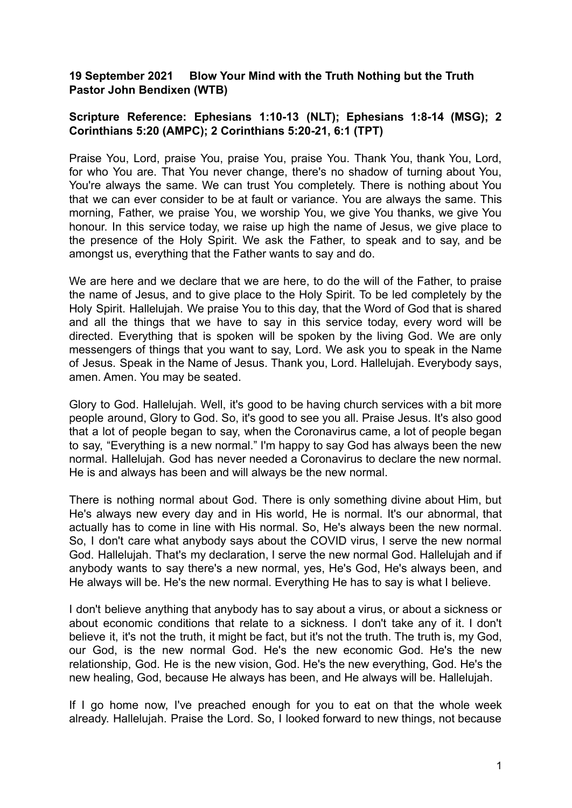## **19 September 2021 Blow Your Mind with the Truth Nothing but the Truth Pastor John Bendixen (WTB)**

## **Scripture Reference: Ephesians 1:10-13 (NLT); Ephesians 1:8-14 (MSG); 2 Corinthians 5:20 (AMPC); 2 Corinthians 5:20-21, 6:1 (TPT)**

Praise You, Lord, praise You, praise You, praise You. Thank You, thank You, Lord, for who You are. That You never change, there's no shadow of turning about You, You're always the same. We can trust You completely. There is nothing about You that we can ever consider to be at fault or variance. You are always the same. This morning, Father, we praise You, we worship You, we give You thanks, we give You honour. In this service today, we raise up high the name of Jesus, we give place to the presence of the Holy Spirit. We ask the Father, to speak and to say, and be amongst us, everything that the Father wants to say and do.

We are here and we declare that we are here, to do the will of the Father, to praise the name of Jesus, and to give place to the Holy Spirit. To be led completely by the Holy Spirit. Hallelujah. We praise You to this day, that the Word of God that is shared and all the things that we have to say in this service today, every word will be directed. Everything that is spoken will be spoken by the living God. We are only messengers of things that you want to say, Lord. We ask you to speak in the Name of Jesus. Speak in the Name of Jesus. Thank you, Lord. Hallelujah. Everybody says, amen. Amen. You may be seated.

Glory to God. Hallelujah. Well, it's good to be having church services with a bit more people around, Glory to God. So, it's good to see you all. Praise Jesus. It's also good that a lot of people began to say, when the Coronavirus came, a lot of people began to say, "Everything is a new normal." I'm happy to say God has always been the new normal. Hallelujah. God has never needed a Coronavirus to declare the new normal. He is and always has been and will always be the new normal.

There is nothing normal about God. There is only something divine about Him, but He's always new every day and in His world, He is normal. It's our abnormal, that actually has to come in line with His normal. So, He's always been the new normal. So, I don't care what anybody says about the COVID virus, I serve the new normal God. Hallelujah. That's my declaration, I serve the new normal God. Hallelujah and if anybody wants to say there's a new normal, yes, He's God, He's always been, and He always will be. He's the new normal. Everything He has to say is what I believe.

I don't believe anything that anybody has to say about a virus, or about a sickness or about economic conditions that relate to a sickness. I don't take any of it. I don't believe it, it's not the truth, it might be fact, but it's not the truth. The truth is, my God, our God, is the new normal God. He's the new economic God. He's the new relationship, God. He is the new vision, God. He's the new everything, God. He's the new healing, God, because He always has been, and He always will be. Hallelujah.

If I go home now, I've preached enough for you to eat on that the whole week already. Hallelujah. Praise the Lord. So, I looked forward to new things, not because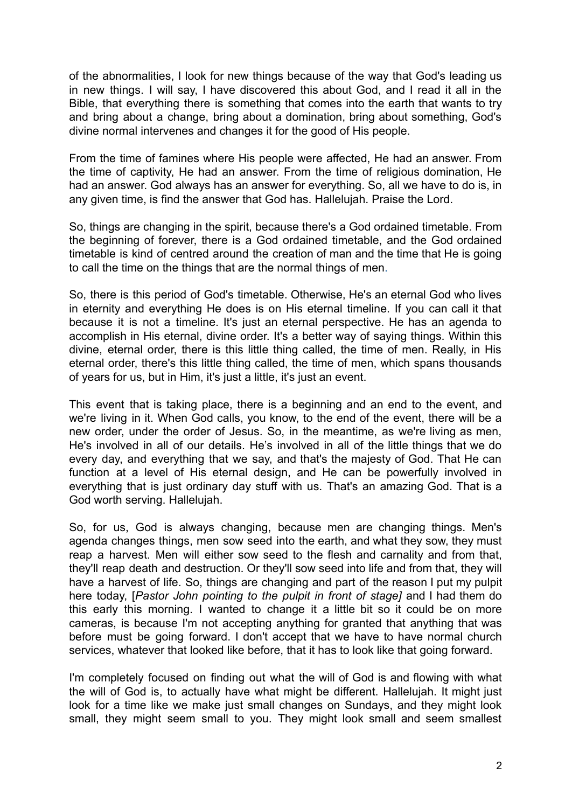of the abnormalities, I look for new things because of the way that God's leading us in new things. I will say, I have discovered this about God, and I read it all in the Bible, that everything there is something that comes into the earth that wants to try and bring about a change, bring about a domination, bring about something, God's divine normal intervenes and changes it for the good of His people.

From the time of famines where His people were affected, He had an answer. From the time of captivity, He had an answer. From the time of religious domination, He had an answer. God always has an answer for everything. So, all we have to do is, in any given time, is find the answer that God has. Hallelujah. Praise the Lord.

So, things are changing in the spirit, because there's a God ordained timetable. From the beginning of forever, there is a God ordained timetable, and the God ordained timetable is kind of centred around the creation of man and the time that He is going to call the time on the things that are the normal things of men.

So, there is this period of God's timetable. Otherwise, He's an eternal God who lives in eternity and everything He does is on His eternal timeline. If you can call it that because it is not a timeline. It's just an eternal perspective. He has an agenda to accomplish in His eternal, divine order. It's a better way of saying things. Within this divine, eternal order, there is this little thing called, the time of men. Really, in His eternal order, there's this little thing called, the time of men, which spans thousands of years for us, but in Him, it's just a little, it's just an event.

This event that is taking place, there is a beginning and an end to the event, and we're living in it. When God calls, you know, to the end of the event, there will be a new order, under the order of Jesus. So, in the meantime, as we're living as men, He's involved in all of our details. He's involved in all of the little things that we do every day, and everything that we say, and that's the majesty of God. That He can function at a level of His eternal design, and He can be powerfully involved in everything that is just ordinary day stuff with us. That's an amazing God. That is a God worth serving. Hallelujah.

So, for us, God is always changing, because men are changing things. Men's agenda changes things, men sow seed into the earth, and what they sow, they must reap a harvest. Men will either sow seed to the flesh and carnality and from that, they'll reap death and destruction. Or they'll sow seed into life and from that, they will have a harvest of life. So, things are changing and part of the reason I put my pulpit here today, [*Pastor John pointing to the pulpit in front of stage]* and I had them do this early this morning. I wanted to change it a little bit so it could be on more cameras, is because I'm not accepting anything for granted that anything that was before must be going forward. I don't accept that we have to have normal church services, whatever that looked like before, that it has to look like that going forward.

I'm completely focused on finding out what the will of God is and flowing with what the will of God is, to actually have what might be different. Hallelujah. It might just look for a time like we make just small changes on Sundays, and they might look small, they might seem small to you. They might look small and seem smallest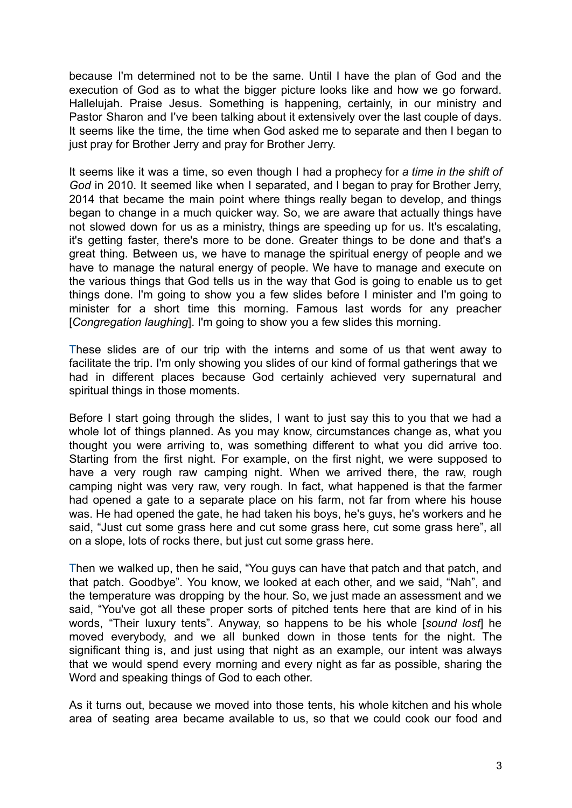because I'm determined not to be the same. Until I have the plan of God and the execution of God as to what the bigger picture looks like and how we go forward. Hallelujah. Praise Jesus. Something is happening, certainly, in our ministry and Pastor Sharon and I've been talking about it extensively over the last couple of days. It seems like the time, the time when God asked me to separate and then I began to just pray for Brother Jerry and pray for Brother Jerry.

It seems like it was a time, so even though I had a prophecy for *a time in the shift of God* in 2010. It seemed like when I separated, and I began to pray for Brother Jerry, 2014 that became the main point where things really began to develop, and things began to change in a much quicker way. So, we are aware that actually things have not slowed down for us as a ministry, things are speeding up for us. It's escalating, it's getting faster, there's more to be done. Greater things to be done and that's a great thing. Between us, we have to manage the spiritual energy of people and we have to manage the natural energy of people. We have to manage and execute on the various things that God tells us in the way that God is going to enable us to get things done. I'm going to show you a few slides before I minister and I'm going to minister for a short time this morning. Famous last words for any preacher [*Congregation laughing*]. I'm going to show you a few slides this morning.

These slides are of our trip with the interns and some of us that went away to facilitate the trip. I'm only showing you slides of our kind of formal gatherings that we had in different places because God certainly achieved very supernatural and spiritual things in those moments.

Before I start going through the slides, I want to just say this to you that we had a whole lot of things planned. As you may know, circumstances change as, what you thought you were arriving to, was something different to what you did arrive too. Starting from the first night. For example, on the first night, we were supposed to have a very rough raw camping night. When we arrived there, the raw, rough camping night was very raw, very rough. In fact, what happened is that the farmer had opened a gate to a separate place on his farm, not far from where his house was. He had opened the gate, he had taken his boys, he's guys, he's workers and he said, "Just cut some grass here and cut some grass here, cut some grass here", all on a slope, lots of rocks there, but just cut some grass here.

Then we walked up, then he said, "You guys can have that patch and that patch, and that patch. Goodbye". You know, we looked at each other, and we said, "Nah", and the temperature was dropping by the hour. So, we just made an assessment and we said, "You've got all these proper sorts of pitched tents here that are kind of in his words, "Their luxury tents". Anyway, so happens to be his whole [*sound lost*] he moved everybody, and we all bunked down in those tents for the night. The significant thing is, and just using that night as an example, our intent was always that we would spend every morning and every night as far as possible, sharing the Word and speaking things of God to each other.

As it turns out, because we moved into those tents, his whole kitchen and his whole area of seating area became available to us, so that we could cook our food and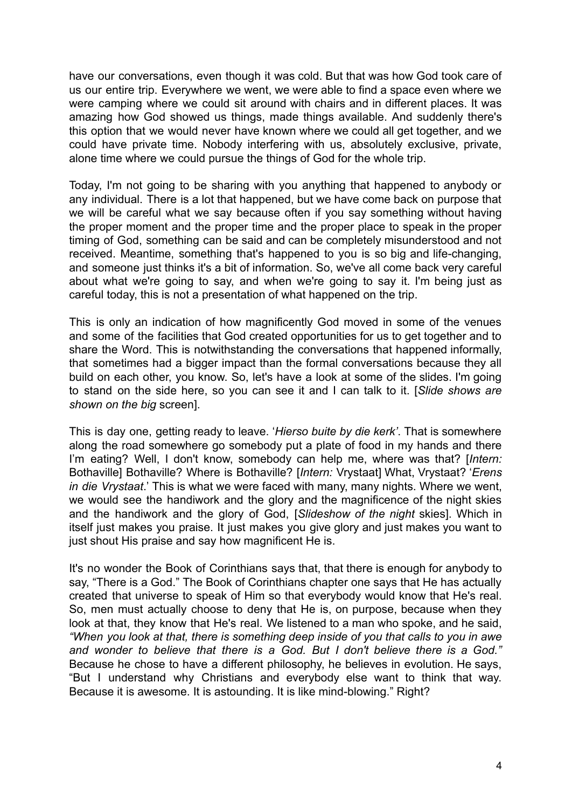have our conversations, even though it was cold. But that was how God took care of us our entire trip. Everywhere we went, we were able to find a space even where we were camping where we could sit around with chairs and in different places. It was amazing how God showed us things, made things available. And suddenly there's this option that we would never have known where we could all get together, and we could have private time. Nobody interfering with us, absolutely exclusive, private, alone time where we could pursue the things of God for the whole trip.

Today, I'm not going to be sharing with you anything that happened to anybody or any individual. There is a lot that happened, but we have come back on purpose that we will be careful what we say because often if you say something without having the proper moment and the proper time and the proper place to speak in the proper timing of God, something can be said and can be completely misunderstood and not received. Meantime, something that's happened to you is so big and life-changing, and someone just thinks it's a bit of information. So, we've all come back very careful about what we're going to say, and when we're going to say it. I'm being just as careful today, this is not a presentation of what happened on the trip.

This is only an indication of how magnificently God moved in some of the venues and some of the facilities that God created opportunities for us to get together and to share the Word. This is notwithstanding the conversations that happened informally, that sometimes had a bigger impact than the formal conversations because they all build on each other, you know. So, let's have a look at some of the slides. I'm going to stand on the side here, so you can see it and I can talk to it. [*Slide shows are shown on the big* screen].

This is day one, getting ready to leave. '*Hierso buite by die kerk'*. That is somewhere along the road somewhere go somebody put a plate of food in my hands and there I'm eating? Well, I don't know, somebody can help me, where was that? [*Intern:* Bothaville] Bothaville? Where is Bothaville? [*Intern:* Vrystaat] What, Vrystaat? '*Erens in die Vrystaat*.' This is what we were faced with many, many nights. Where we went, we would see the handiwork and the glory and the magnificence of the night skies and the handiwork and the glory of God, [*Slideshow of the night* skies]. Which in itself just makes you praise. It just makes you give glory and just makes you want to just shout His praise and say how magnificent He is.

It's no wonder the Book of Corinthians says that, that there is enough for anybody to say, "There is a God." The Book of Corinthians chapter one says that He has actually created that universe to speak of Him so that everybody would know that He's real. So, men must actually choose to deny that He is, on purpose, because when they look at that, they know that He's real. We listened to a man who spoke, and he said, *"When you look at that, there is something deep inside of you that calls to you in awe and wonder to believe that there is a God. But I don't believe there is a God."* Because he chose to have a different philosophy, he believes in evolution. He says, "But I understand why Christians and everybody else want to think that way. Because it is awesome. It is astounding. It is like mind-blowing." Right?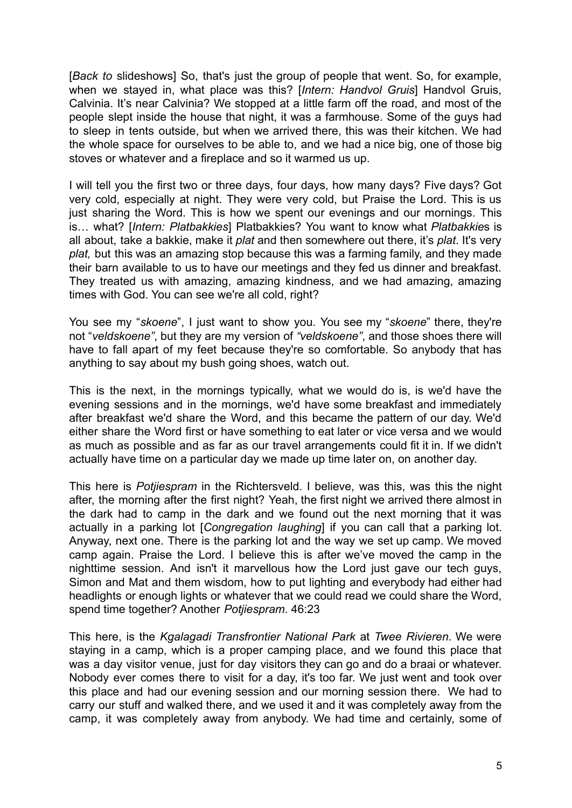[*Back to* slideshows] So, that's just the group of people that went. So, for example, when we stayed in, what place was this? [*Intern: Handvol Gruis*] Handvol Gruis, Calvinia. It's near Calvinia? We stopped at a little farm off the road, and most of the people slept inside the house that night, it was a farmhouse. Some of the guys had to sleep in tents outside, but when we arrived there, this was their kitchen. We had the whole space for ourselves to be able to, and we had a nice big, one of those big stoves or whatever and a fireplace and so it warmed us up.

I will tell you the first two or three days, four days, how many days? Five days? Got very cold, especially at night. They were very cold, but Praise the Lord. This is us just sharing the Word. This is how we spent our evenings and our mornings. This is… what? [*Intern: Platbakkies*] Platbakkies? You want to know what *Platbakkie*s is all about, take a bakkie, make it *plat* and then somewhere out there, it's *plat*. It's very *plat,* but this was an amazing stop because this was a farming family, and they made their barn available to us to have our meetings and they fed us dinner and breakfast. They treated us with amazing, amazing kindness, and we had amazing, amazing times with God. You can see we're all cold, right?

You see my "*skoene*", I just want to show you. You see my "*skoene*" there, they're not "*veldskoene"*, but they are my version of *"veldskoene"*, and those shoes there will have to fall apart of my feet because they're so comfortable. So anybody that has anything to say about my bush going shoes, watch out.

This is the next, in the mornings typically, what we would do is, is we'd have the evening sessions and in the mornings, we'd have some breakfast and immediately after breakfast we'd share the Word, and this became the pattern of our day. We'd either share the Word first or have something to eat later or vice versa and we would as much as possible and as far as our travel arrangements could fit it in. If we didn't actually have time on a particular day we made up time later on, on another day.

This here is *Potjiespram* in the Richtersveld. I believe, was this, was this the night after, the morning after the first night? Yeah, the first night we arrived there almost in the dark had to camp in the dark and we found out the next morning that it was actually in a parking lot [*Congregation laughing*] if you can call that a parking lot. Anyway, next one. There is the parking lot and the way we set up camp. We moved camp again. Praise the Lord. I believe this is after we've moved the camp in the nighttime session. And isn't it marvellous how the Lord just gave our tech guys, Simon and Mat and them wisdom, how to put lighting and everybody had either had headlights or enough lights or whatever that we could read we could share the Word, spend time together? Another *Potjiespram*. 46:23

This here, is the *Kgalagadi Transfrontier National Park* at *Twee Rivieren*. We were staying in a camp, which is a proper camping place, and we found this place that was a day visitor venue, just for day visitors they can go and do a braai or whatever. Nobody ever comes there to visit for a day, it's too far. We just went and took over this place and had our evening session and our morning session there. We had to carry our stuff and walked there, and we used it and it was completely away from the camp, it was completely away from anybody. We had time and certainly, some of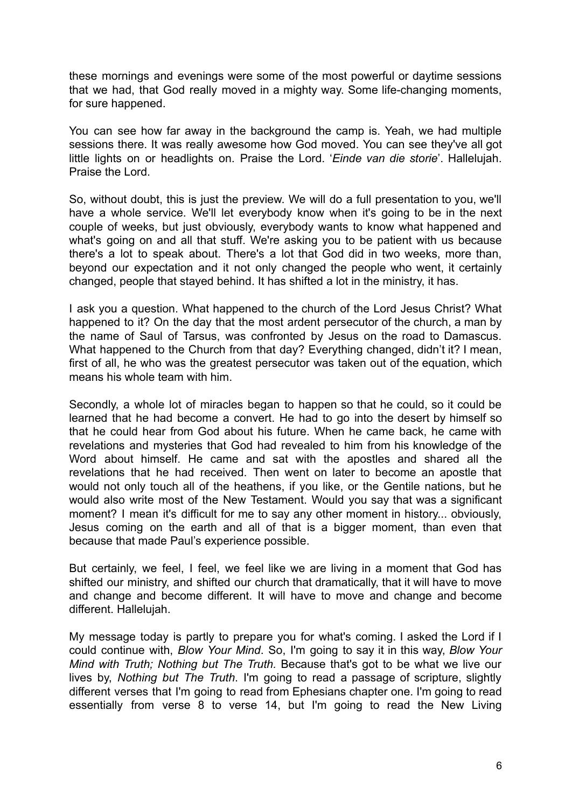these mornings and evenings were some of the most powerful or daytime sessions that we had, that God really moved in a mighty way. Some life-changing moments, for sure happened.

You can see how far away in the background the camp is. Yeah, we had multiple sessions there. It was really awesome how God moved. You can see they've all got little lights on or headlights on. Praise the Lord. '*Einde van die storie*'. Hallelujah. Praise the Lord.

So, without doubt, this is just the preview. We will do a full presentation to you, we'll have a whole service. We'll let everybody know when it's going to be in the next couple of weeks, but just obviously, everybody wants to know what happened and what's going on and all that stuff. We're asking you to be patient with us because there's a lot to speak about. There's a lot that God did in two weeks, more than, beyond our expectation and it not only changed the people who went, it certainly changed, people that stayed behind. It has shifted a lot in the ministry, it has.

I ask you a question. What happened to the church of the Lord Jesus Christ? What happened to it? On the day that the most ardent persecutor of the church, a man by the name of Saul of Tarsus, was confronted by Jesus on the road to Damascus. What happened to the Church from that day? Everything changed, didn't it? I mean, first of all, he who was the greatest persecutor was taken out of the equation, which means his whole team with him.

Secondly, a whole lot of miracles began to happen so that he could, so it could be learned that he had become a convert. He had to go into the desert by himself so that he could hear from God about his future. When he came back, he came with revelations and mysteries that God had revealed to him from his knowledge of the Word about himself. He came and sat with the apostles and shared all the revelations that he had received. Then went on later to become an apostle that would not only touch all of the heathens, if you like, or the Gentile nations, but he would also write most of the New Testament. Would you say that was a significant moment? I mean it's difficult for me to say any other moment in history... obviously, Jesus coming on the earth and all of that is a bigger moment, than even that because that made Paul's experience possible.

But certainly, we feel, I feel, we feel like we are living in a moment that God has shifted our ministry, and shifted our church that dramatically, that it will have to move and change and become different. It will have to move and change and become different. Hallelujah.

My message today is partly to prepare you for what's coming. I asked the Lord if I could continue with, *Blow Your Mind*. So, I'm going to say it in this way, *Blow Your Mind with Truth; Nothing but The Truth.* Because that's got to be what we live our lives by, *Nothing but The Truth*. I'm going to read a passage of scripture, slightly different verses that I'm going to read from Ephesians chapter one. I'm going to read essentially from verse 8 to verse 14, but I'm going to read the New Living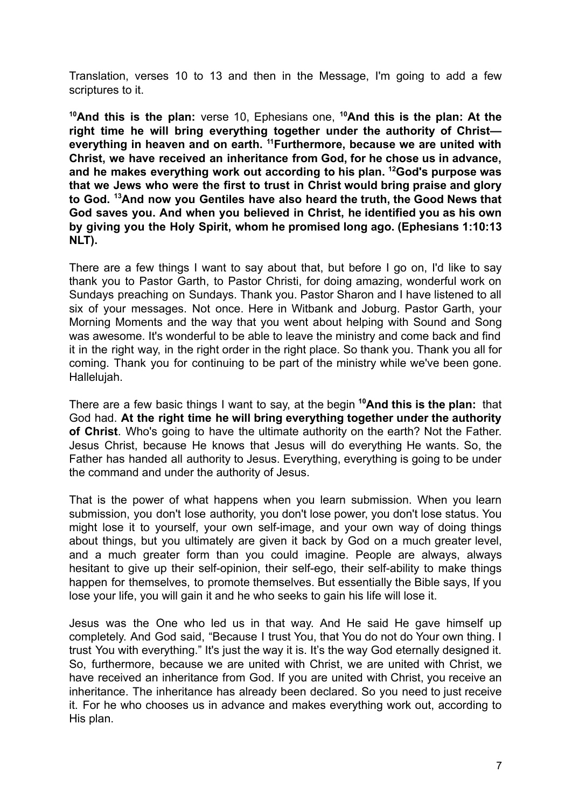Translation, verses 10 to 13 and then in the Message, I'm going to add a few scriptures to it.

**<sup>10</sup>And this is the plan:** verse 10, Ephesians one, **<sup>10</sup>And this is the plan: At the right time he will bring everything together under the authority of Christ everything in heaven and on earth. <sup>11</sup>Furthermore, because we are united with Christ, we have received an inheritance from God, for he chose us in advance, and he makes everything work out according to his plan. <sup>12</sup>God's purpose was that we Jews who were the first to trust in Christ would bring praise and glory to God. <sup>13</sup>And now you Gentiles have also heard the truth, the Good News that God saves you. And when you believed in Christ, he identified you as his own by giving you the Holy Spirit, whom he promised long ago. (Ephesians 1:10:13 NLT).**

There are a few things I want to say about that, but before I go on, I'd like to say thank you to Pastor Garth, to Pastor Christi, for doing amazing, wonderful work on Sundays preaching on Sundays. Thank you. Pastor Sharon and I have listened to all six of your messages. Not once. Here in Witbank and Joburg. Pastor Garth, your Morning Moments and the way that you went about helping with Sound and Song was awesome. It's wonderful to be able to leave the ministry and come back and find it in the right way, in the right order in the right place. So thank you. Thank you all for coming. Thank you for continuing to be part of the ministry while we've been gone. Hallelujah.

There are a few basic things I want to say, at the begin **<sup>10</sup>And this is the plan:** that God had. **At the right time he will bring everything together under the authority of Christ**. Who's going to have the ultimate authority on the earth? Not the Father. Jesus Christ, because He knows that Jesus will do everything He wants. So, the Father has handed all authority to Jesus. Everything, everything is going to be under the command and under the authority of Jesus.

That is the power of what happens when you learn submission. When you learn submission, you don't lose authority, you don't lose power, you don't lose status. You might lose it to yourself, your own self-image, and your own way of doing things about things, but you ultimately are given it back by God on a much greater level, and a much greater form than you could imagine. People are always, always hesitant to give up their self-opinion, their self-ego, their self-ability to make things happen for themselves, to promote themselves. But essentially the Bible says, If you lose your life, you will gain it and he who seeks to gain his life will lose it.

Jesus was the One who led us in that way. And He said He gave himself up completely. And God said, "Because I trust You, that You do not do Your own thing. I trust You with everything." It's just the way it is. It's the way God eternally designed it. So, furthermore, because we are united with Christ, we are united with Christ, we have received an inheritance from God. If you are united with Christ, you receive an inheritance. The inheritance has already been declared. So you need to just receive it. For he who chooses us in advance and makes everything work out, according to His plan.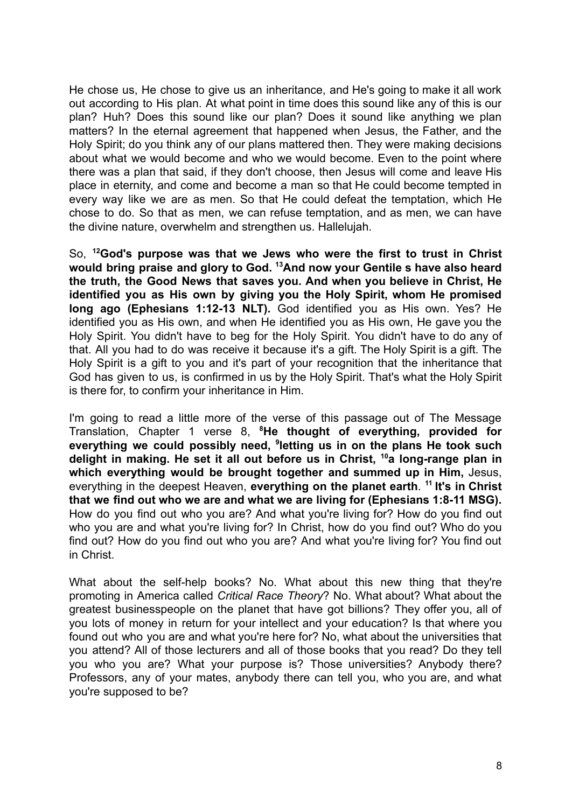He chose us, He chose to give us an inheritance, and He's going to make it all work out according to His plan. At what point in time does this sound like any of this is our plan? Huh? Does this sound like our plan? Does it sound like anything we plan matters? In the eternal agreement that happened when Jesus, the Father, and the Holy Spirit; do you think any of our plans mattered then. They were making decisions about what we would become and who we would become. Even to the point where there was a plan that said, if they don't choose, then Jesus will come and leave His place in eternity, and come and become a man so that He could become tempted in every way like we are as men. So that He could defeat the temptation, which He chose to do. So that as men, we can refuse temptation, and as men, we can have the divine nature, overwhelm and strengthen us. Hallelujah.

So, **<sup>12</sup>God's purpose was that we Jews who were the first to trust in Christ would bring praise and glory to God. <sup>13</sup>And now your Gentile s have also heard the truth, the Good News that saves you. And when you believe in Christ, He identified you as His own by giving you the Holy Spirit, whom He promised long ago (Ephesians 1:12-13 NLT).** God identified you as His own. Yes? He identified you as His own, and when He identified you as His own, He gave you the Holy Spirit. You didn't have to beg for the Holy Spirit. You didn't have to do any of that. All you had to do was receive it because it's a gift. The Holy Spirit is a gift. The Holy Spirit is a gift to you and it's part of your recognition that the inheritance that God has given to us, is confirmed in us by the Holy Spirit. That's what the Holy Spirit is there for, to confirm your inheritance in Him.

I'm going to read a little more of the verse of this passage out of The Message Translation, Chapter 1 verse 8, **<sup>8</sup>He thought of everything, provided for everything we could possibly need, <sup>9</sup> letting us in on the plans He took such delight in making. He set it all out before us in Christ, <sup>10</sup>a long-range plan in which everything would be brought together and summed up in Him,** Jesus, everything in the deepest Heaven, **everything on the planet earth**. **11 It's in Christ that we find out who we are and what we are living for (Ephesians 1:8-11 MSG).** How do you find out who you are? And what you're living for? How do you find out who you are and what you're living for? In Christ, how do you find out? Who do you find out? How do you find out who you are? And what you're living for? You find out in Christ.

What about the self-help books? No. What about this new thing that they're promoting in America called *Critical Race Theory*? No. What about? What about the greatest businesspeople on the planet that have got billions? They offer you, all of you lots of money in return for your intellect and your education? Is that where you found out who you are and what you're here for? No, what about the universities that you attend? All of those lecturers and all of those books that you read? Do they tell you who you are? What your purpose is? Those universities? Anybody there? Professors, any of your mates, anybody there can tell you, who you are, and what you're supposed to be?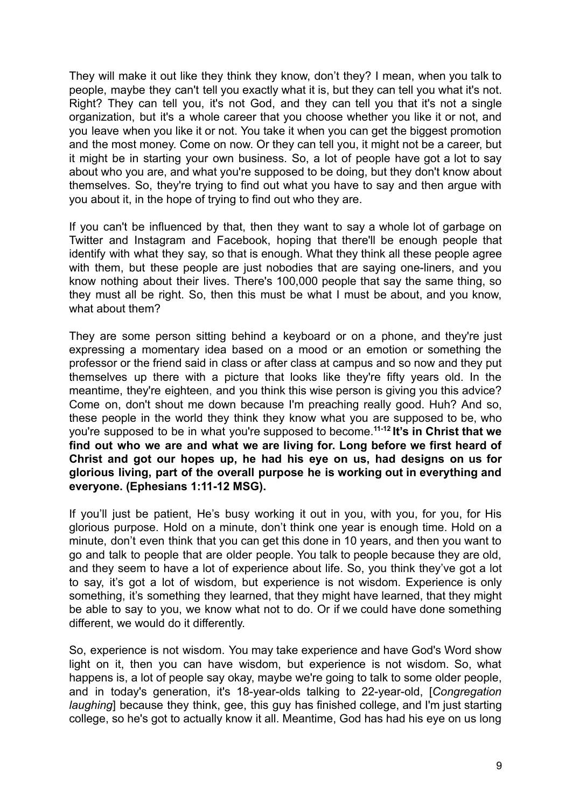They will make it out like they think they know, don't they? I mean, when you talk to people, maybe they can't tell you exactly what it is, but they can tell you what it's not. Right? They can tell you, it's not God, and they can tell you that it's not a single organization, but it's a whole career that you choose whether you like it or not, and you leave when you like it or not. You take it when you can get the biggest promotion and the most money. Come on now. Or they can tell you, it might not be a career, but it might be in starting your own business. So, a lot of people have got a lot to say about who you are, and what you're supposed to be doing, but they don't know about themselves. So, they're trying to find out what you have to say and then argue with you about it, in the hope of trying to find out who they are.

If you can't be influenced by that, then they want to say a whole lot of garbage on Twitter and Instagram and Facebook, hoping that there'll be enough people that identify with what they say, so that is enough. What they think all these people agree with them, but these people are just nobodies that are saying one-liners, and you know nothing about their lives. There's 100,000 people that say the same thing, so they must all be right. So, then this must be what I must be about, and you know, what about them?

They are some person sitting behind a keyboard or on a phone, and they're just expressing a momentary idea based on a mood or an emotion or something the professor or the friend said in class or after class at campus and so now and they put themselves up there with a picture that looks like they're fifty years old. In the meantime, they're eighteen, and you think this wise person is giving you this advice? Come on, don't shout me down because I'm preaching really good. Huh? And so, these people in the world they think they know what you are supposed to be, who you're supposed to be in what you're supposed to become.**11-12 It's in Christ that we find out who we are and what we are living for. Long before we first heard of Christ and got our hopes up, he had his eye on us, had designs on us for glorious living, part of the overall purpose he is working out in everything and everyone. (Ephesians 1:11-12 MSG).**

If you'll just be patient, He's busy working it out in you, with you, for you, for His glorious purpose. Hold on a minute, don't think one year is enough time. Hold on a minute, don't even think that you can get this done in 10 years, and then you want to go and talk to people that are older people. You talk to people because they are old, and they seem to have a lot of experience about life. So, you think they've got a lot to say, it's got a lot of wisdom, but experience is not wisdom. Experience is only something, it's something they learned, that they might have learned, that they might be able to say to you, we know what not to do. Or if we could have done something different, we would do it differently.

So, experience is not wisdom. You may take experience and have God's Word show light on it, then you can have wisdom, but experience is not wisdom. So, what happens is, a lot of people say okay, maybe we're going to talk to some older people, and in today's generation, it's 18-year-olds talking to 22-year-old, [*Congregation laughing*] because they think, gee, this guy has finished college, and I'm just starting college, so he's got to actually know it all. Meantime, God has had his eye on us long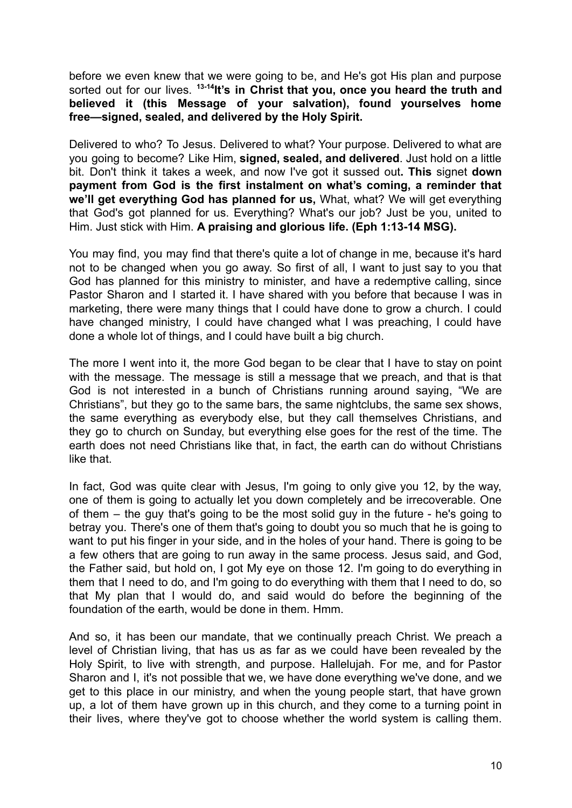before we even knew that we were going to be, and He's got His plan and purpose sorted out for our lives. **13-14 It's in Christ that you, once you heard the truth and believed it (this Message of your salvation), found yourselves home free—signed, sealed, and delivered by the Holy Spirit.**

Delivered to who? To Jesus. Delivered to what? Your purpose. Delivered to what are you going to become? Like Him, **signed, sealed, and delivered**. Just hold on a little bit. Don't think it takes a week, and now I've got it sussed out**. This** signet **down payment from God is the first instalment on what's coming, a reminder that we'll get everything God has planned for us,** What, what? We will get everything that God's got planned for us. Everything? What's our job? Just be you, united to Him. Just stick with Him. **A praising and glorious life. (Eph 1:13-14 MSG).**

You may find, you may find that there's quite a lot of change in me, because it's hard not to be changed when you go away. So first of all, I want to just say to you that God has planned for this ministry to minister, and have a redemptive calling, since Pastor Sharon and I started it. I have shared with you before that because I was in marketing, there were many things that I could have done to grow a church. I could have changed ministry. I could have changed what I was preaching. I could have done a whole lot of things, and I could have built a big church.

The more I went into it, the more God began to be clear that I have to stay on point with the message. The message is still a message that we preach, and that is that God is not interested in a bunch of Christians running around saying, "We are Christians", but they go to the same bars, the same nightclubs, the same sex shows, the same everything as everybody else, but they call themselves Christians, and they go to church on Sunday, but everything else goes for the rest of the time. The earth does not need Christians like that, in fact, the earth can do without Christians like that.

In fact, God was quite clear with Jesus, I'm going to only give you 12, by the way, one of them is going to actually let you down completely and be irrecoverable. One of them – the guy that's going to be the most solid guy in the future - he's going to betray you. There's one of them that's going to doubt you so much that he is going to want to put his finger in your side, and in the holes of your hand. There is going to be a few others that are going to run away in the same process. Jesus said, and God, the Father said, but hold on, I got My eye on those 12. I'm going to do everything in them that I need to do, and I'm going to do everything with them that I need to do, so that My plan that I would do, and said would do before the beginning of the foundation of the earth, would be done in them. Hmm.

And so, it has been our mandate, that we continually preach Christ. We preach a level of Christian living, that has us as far as we could have been revealed by the Holy Spirit, to live with strength, and purpose. Hallelujah. For me, and for Pastor Sharon and I, it's not possible that we, we have done everything we've done, and we get to this place in our ministry, and when the young people start, that have grown up, a lot of them have grown up in this church, and they come to a turning point in their lives, where they've got to choose whether the world system is calling them.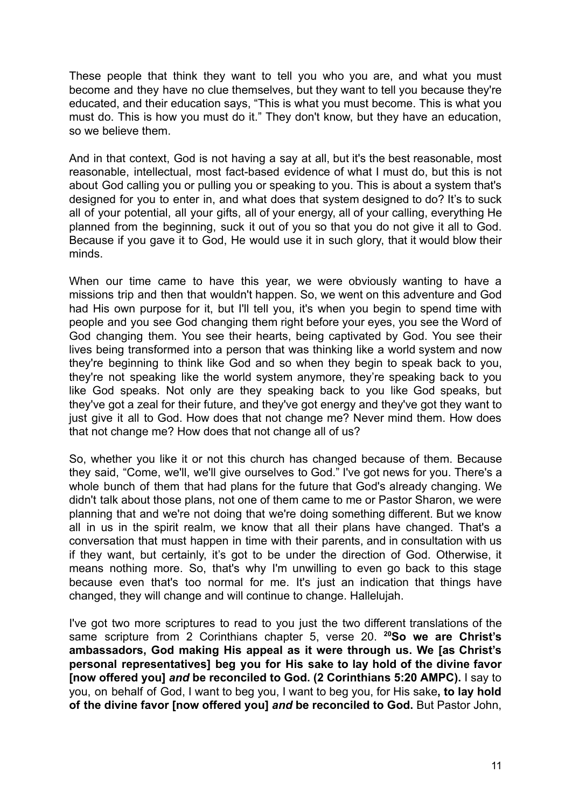These people that think they want to tell you who you are, and what you must become and they have no clue themselves, but they want to tell you because they're educated, and their education says, "This is what you must become. This is what you must do. This is how you must do it." They don't know, but they have an education, so we believe them.

And in that context, God is not having a say at all, but it's the best reasonable, most reasonable, intellectual, most fact-based evidence of what I must do, but this is not about God calling you or pulling you or speaking to you. This is about a system that's designed for you to enter in, and what does that system designed to do? It's to suck all of your potential, all your gifts, all of your energy, all of your calling, everything He planned from the beginning, suck it out of you so that you do not give it all to God. Because if you gave it to God, He would use it in such glory, that it would blow their minds.

When our time came to have this year, we were obviously wanting to have a missions trip and then that wouldn't happen. So, we went on this adventure and God had His own purpose for it, but I'll tell you, it's when you begin to spend time with people and you see God changing them right before your eyes, you see the Word of God changing them. You see their hearts, being captivated by God. You see their lives being transformed into a person that was thinking like a world system and now they're beginning to think like God and so when they begin to speak back to you, they're not speaking like the world system anymore, they're speaking back to you like God speaks. Not only are they speaking back to you like God speaks, but they've got a zeal for their future, and they've got energy and they've got they want to just give it all to God. How does that not change me? Never mind them. How does that not change me? How does that not change all of us?

So, whether you like it or not this church has changed because of them. Because they said, "Come, we'll, we'll give ourselves to God." I've got news for you. There's a whole bunch of them that had plans for the future that God's already changing. We didn't talk about those plans, not one of them came to me or Pastor Sharon, we were planning that and we're not doing that we're doing something different. But we know all in us in the spirit realm, we know that all their plans have changed. That's a conversation that must happen in time with their parents, and in consultation with us if they want, but certainly, it's got to be under the direction of God. Otherwise, it means nothing more. So, that's why I'm unwilling to even go back to this stage because even that's too normal for me. It's just an indication that things have changed, they will change and will continue to change. Hallelujah.

I've got two more scriptures to read to you just the two different translations of the same scripture from 2 Corinthians chapter 5, verse 20. **<sup>20</sup>So we are Christ's ambassadors, God making His appeal as it were through us. We [as Christ's personal representatives] beg you for His sake to lay hold of the divine favor [now offered you]** *and* **be reconciled to God. (2 Corinthians 5:20 AMPC).** I say to you, on behalf of God, I want to beg you, I want to beg you, for His sake**, to lay hold of the divine favor [now offered you]** *and* **be reconciled to God.** But Pastor John,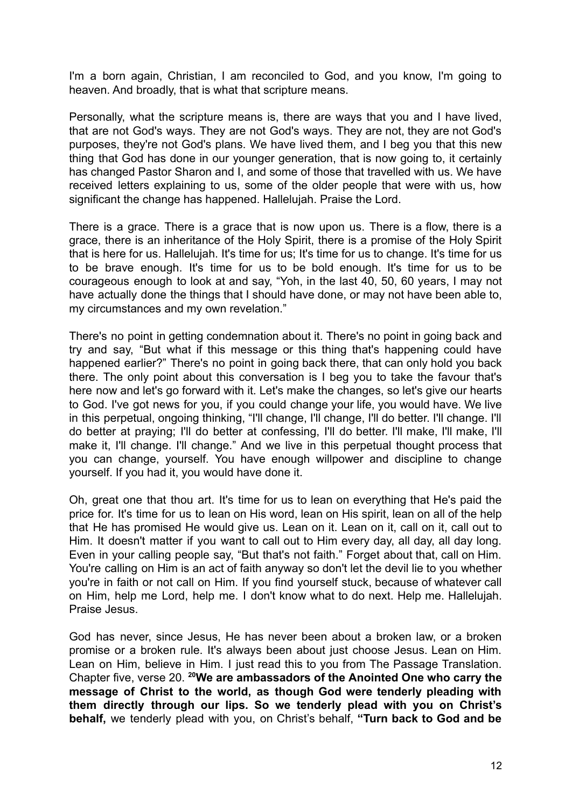I'm a born again, Christian, I am reconciled to God, and you know, I'm going to heaven. And broadly, that is what that scripture means.

Personally, what the scripture means is, there are ways that you and I have lived, that are not God's ways. They are not God's ways. They are not, they are not God's purposes, they're not God's plans. We have lived them, and I beg you that this new thing that God has done in our younger generation, that is now going to, it certainly has changed Pastor Sharon and I, and some of those that travelled with us. We have received letters explaining to us, some of the older people that were with us, how significant the change has happened. Hallelujah. Praise the Lord.

There is a grace. There is a grace that is now upon us. There is a flow, there is a grace, there is an inheritance of the Holy Spirit, there is a promise of the Holy Spirit that is here for us. Hallelujah. It's time for us; It's time for us to change. It's time for us to be brave enough. It's time for us to be bold enough. It's time for us to be courageous enough to look at and say, "Yoh, in the last 40, 50, 60 years, I may not have actually done the things that I should have done, or may not have been able to, my circumstances and my own revelation."

There's no point in getting condemnation about it. There's no point in going back and try and say, "But what if this message or this thing that's happening could have happened earlier?" There's no point in going back there, that can only hold you back there. The only point about this conversation is I beg you to take the favour that's here now and let's go forward with it. Let's make the changes, so let's give our hearts to God. I've got news for you, if you could change your life, you would have. We live in this perpetual, ongoing thinking, "I'll change, I'll change, I'll do better. I'll change. I'll do better at praying; I'll do better at confessing, I'll do better. I'll make, I'll make, I'll make it, I'll change. I'll change." And we live in this perpetual thought process that you can change, yourself. You have enough willpower and discipline to change yourself. If you had it, you would have done it.

Oh, great one that thou art. It's time for us to lean on everything that He's paid the price for. It's time for us to lean on His word, lean on His spirit, lean on all of the help that He has promised He would give us. Lean on it. Lean on it, call on it, call out to Him. It doesn't matter if you want to call out to Him every day, all day, all day long. Even in your calling people say, "But that's not faith." Forget about that, call on Him. You're calling on Him is an act of faith anyway so don't let the devil lie to you whether you're in faith or not call on Him. If you find yourself stuck, because of whatever call on Him, help me Lord, help me. I don't know what to do next. Help me. Hallelujah. Praise Jesus.

God has never, since Jesus, He has never been about a broken law, or a broken promise or a broken rule. It's always been about just choose Jesus. Lean on Him. Lean on Him, believe in Him. I just read this to you from The Passage Translation. Chapter five, verse 20. **<sup>20</sup>We are ambassadors of the Anointed One who carry the message of Christ to the world, as though God were tenderly pleading with them directly through our lips. So we tenderly plead with you on Christ's behalf,** we tenderly plead with you, on Christ's behalf, **"Turn back to God and be**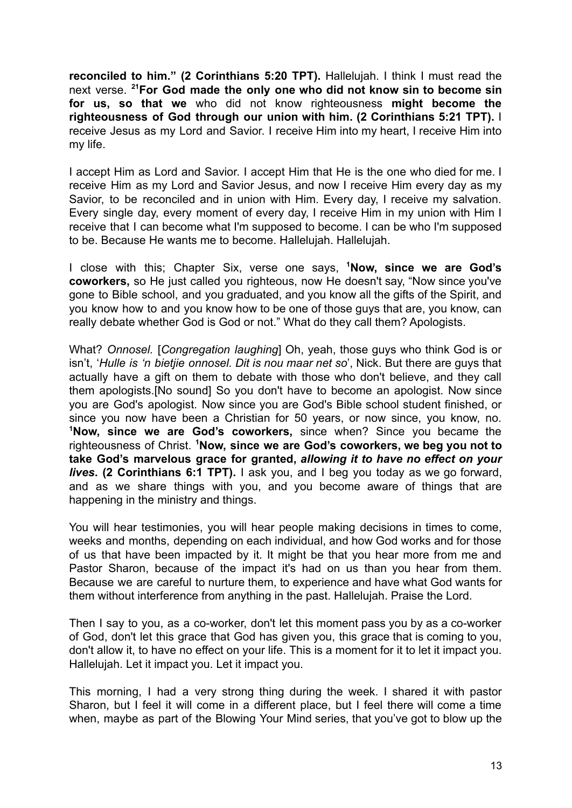**reconciled to him." (2 Corinthians 5:20 TPT).** Hallelujah. I think I must read the next verse. **<sup>21</sup>For God made the only one who did not know sin to become sin for us, so that we** who did not know righteousness **might become the righteousness of God through our union with him. (2 Corinthians 5:21 TPT).** I receive Jesus as my Lord and Savior. I receive Him into my heart, I receive Him into my life.

I accept Him as Lord and Savior. I accept Him that He is the one who died for me. I receive Him as my Lord and Savior Jesus, and now I receive Him every day as my Savior, to be reconciled and in union with Him. Every day, I receive my salvation. Every single day, every moment of every day, I receive Him in my union with Him I receive that I can become what I'm supposed to become. I can be who I'm supposed to be. Because He wants me to become. Hallelujah. Hallelujah.

I close with this; Chapter Six, verse one says, **<sup>1</sup>Now, since we are God's coworkers,** so He just called you righteous, now He doesn't say, "Now since you've gone to Bible school, and you graduated, and you know all the gifts of the Spirit, and you know how to and you know how to be one of those guys that are, you know, can really debate whether God is God or not." What do they call them? Apologists.

What? *Onnosel.* [*Congregation laughing*] Oh, yeah, those guys who think God is or isn't, '*Hulle is 'n bietjie onnosel. Dit is nou maar net so*', Nick. But there are guys that actually have a gift on them to debate with those who don't believe, and they call them apologists.[No sound] So you don't have to become an apologist. Now since you are God's apologist. Now since you are God's Bible school student finished, or since you now have been a Christian for 50 years, or now since, you know, no. **<sup>1</sup>Now, since we are God's coworkers,** since when? Since you became the righteousness of Christ. **<sup>1</sup>Now, since we are God's coworkers, we beg you not to take God's marvelous grace for granted,** *allowing it to have no effect on your lives***. (2 Corinthians 6:1 TPT).** I ask you, and I beg you today as we go forward, and as we share things with you, and you become aware of things that are happening in the ministry and things.

You will hear testimonies, you will hear people making decisions in times to come, weeks and months, depending on each individual, and how God works and for those of us that have been impacted by it. It might be that you hear more from me and Pastor Sharon, because of the impact it's had on us than you hear from them. Because we are careful to nurture them, to experience and have what God wants for them without interference from anything in the past. Hallelujah. Praise the Lord.

Then I say to you, as a co-worker, don't let this moment pass you by as a co-worker of God, don't let this grace that God has given you, this grace that is coming to you, don't allow it, to have no effect on your life. This is a moment for it to let it impact you. Hallelujah. Let it impact you. Let it impact you.

This morning, I had a very strong thing during the week. I shared it with pastor Sharon, but I feel it will come in a different place, but I feel there will come a time when, maybe as part of the Blowing Your Mind series, that you've got to blow up the